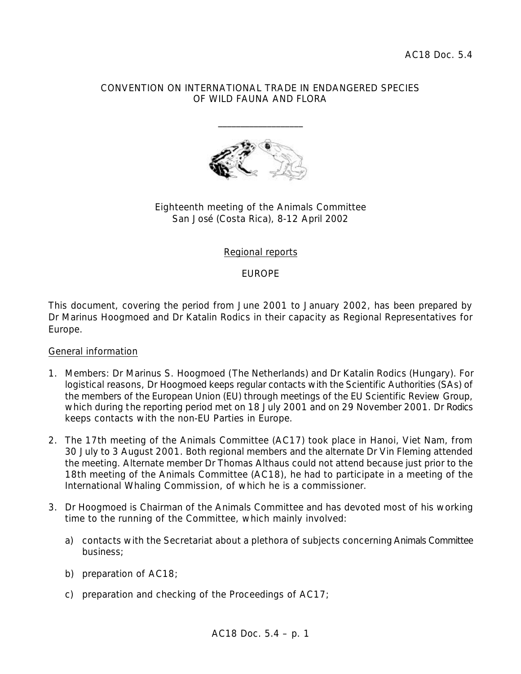#### CONVENTION ON INTERNATIONAL TRADE IN ENDANGERED SPECIES OF WILD FAUNA AND FLORA

\_\_\_\_\_\_\_\_\_\_\_\_\_\_\_\_\_\_\_



# Eighteenth meeting of the Animals Committee San José (Costa Rica), 8-12 April 2002

#### Regional reports

EUROPE

This document, covering the period from June 2001 to January 2002, has been prepared by Dr Marinus Hoogmoed and Dr Katalin Rodics in their capacity as Regional Representatives for Europe.

#### General information

- 1. Members: Dr Marinus S. Hoogmoed (The Netherlands) and Dr Katalin Rodics (Hungary). For logistical reasons, Dr Hoogmoed keeps regular contacts with the Scientific Authorities (SAs) of the members of the European Union (EU) through meetings of the EU Scientific Review Group, which during the reporting period met on 18 July 2001 and on 29 November 2001. Dr Rodics keeps contacts with the non-EU Parties in Europe.
- 2. The 17th meeting of the Animals Committee (AC17) took place in Hanoi, Viet Nam, from 30 July to 3 August 2001. Both regional members and the alternate Dr Vin Fleming attended the meeting. Alternate member Dr Thomas Althaus could not attend because just prior to the 18th meeting of the Animals Committee (AC18), he had to participate in a meeting of the International Whaling Commission, of which he is a commissioner.
- 3. Dr Hoogmoed is Chairman of the Animals Committee and has devoted most of his working time to the running of the Committee, which mainly involved:
	- a) contacts with the Secretariat about a plethora of subjects concerning Animals Committee business;
	- b) preparation of AC18;
	- c) preparation and checking of the Proceedings of AC17;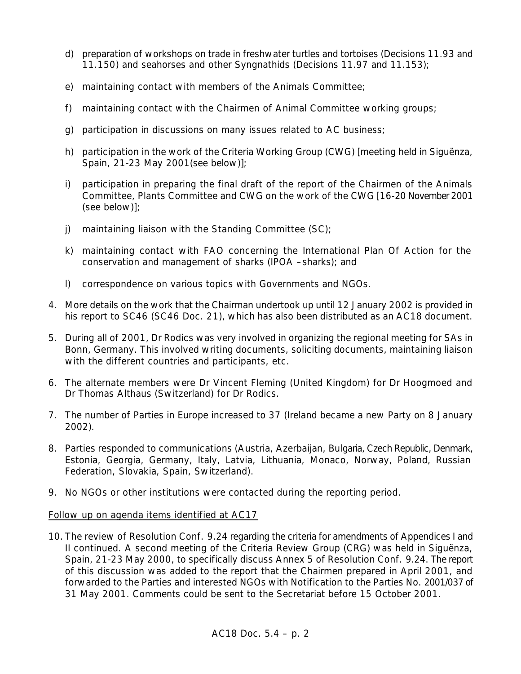- d) preparation of workshops on trade in freshwater turtles and tortoises (Decisions 11.93 and 11.150) and seahorses and other Syngnathids (Decisions 11.97 and 11.153);
- e) maintaining contact with members of the Animals Committee;
- f) maintaining contact with the Chairmen of Animal Committee working groups;
- g) participation in discussions on many issues related to AC business;
- h) participation in the work of the Criteria Working Group (CWG) [meeting held in Siguënza, Spain, 21-23 May 2001(see below)];
- i) participation in preparing the final draft of the report of the Chairmen of the Animals Committee, Plants Committee and CWG on the work of the CWG [16-20 November 2001 (see below)];
- j) maintaining liaison with the Standing Committee (SC);
- k) maintaining contact with FAO concerning the International Plan Of Action for the conservation and management of sharks (IPOA –sharks); and
- l) correspondence on various topics with Governments and NGOs.
- 4. More details on the work that the Chairman undertook up until 12 January 2002 is provided in his report to SC46 (SC46 Doc. 21), which has also been distributed as an AC18 document.
- 5. During all of 2001, Dr Rodics was very involved in organizing the regional meeting for SAs in Bonn, Germany. This involved writing documents, soliciting documents, maintaining liaison with the different countries and participants, etc.
- 6. The alternate members were Dr Vincent Fleming (United Kingdom) for Dr Hoogmoed and Dr Thomas Althaus (Switzerland) for Dr Rodics.
- 7. The number of Parties in Europe increased to 37 (Ireland became a new Party on 8 January 2002).
- 8. Parties responded to communications (Austria, Azerbaijan, Bulgaria, Czech Republic, Denmark, Estonia, Georgia, Germany, Italy, Latvia, Lithuania, Monaco, Norway, Poland, Russian Federation, Slovakia, Spain, Switzerland).
- 9. No NGOs or other institutions were contacted during the reporting period.

# Follow up on agenda items identified at AC17

10. The review of Resolution Conf. 9.24 regarding the criteria for amendments of Appendices I and II continued. A second meeting of the Criteria Review Group (CRG) was held in Siguënza, Spain, 21-23 May 2000, to specifically discuss Annex 5 of Resolution Conf. 9.24. The report of this discussion was added to the report that the Chairmen prepared in April 2001, and forwarded to the Parties and interested NGOs with Notification to the Parties No. 2001/037 of 31 May 2001. Comments could be sent to the Secretariat before 15 October 2001.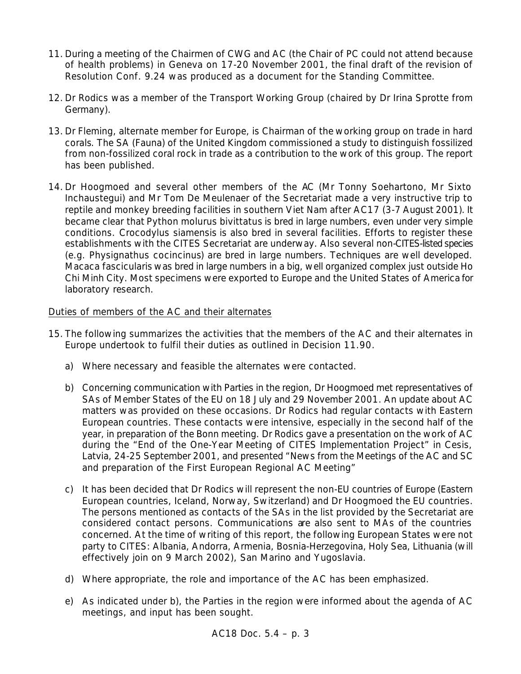- 11. During a meeting of the Chairmen of CWG and AC (the Chair of PC could not attend because of health problems) in Geneva on 17-20 November 2001, the final draft of the revision of Resolution Conf. 9.24 was produced as a document for the Standing Committee.
- 12. Dr Rodics was a member of the Transport Working Group (chaired by Dr Irina Sprotte from Germany).
- 13. Dr Fleming, alternate member for Europe, is Chairman of the working group on trade in hard corals. The SA (Fauna) of the United Kingdom commissioned a study to distinguish fossilized from non-fossilized coral rock in trade as a contribution to the work of this group. The report has been published.
- 14. Dr Hoogmoed and several other members of the AC (Mr Tonny Soehartono, Mr Sixto Inchaustegui) and Mr Tom De Meulenaer of the Secretariat made a very instructive trip to reptile and monkey breeding facilities in southern Viet Nam after AC17 (3-7 August 2001). It became clear that *Python molurus bivittatus* is bred in large numbers, even under very simple conditions. *Crocodylus siamensis* is also bred in several facilities. Efforts to register these establishments with the CITES Secretariat are underway. Also several non-CITES-listed species (e.g. *Physignathus cocincinus*) are bred in large numbers. Techniques are well developed. *Macaca fascicularis* was bred in large numbers in a big, well organized complex just outside Ho Chi Minh City. Most specimens were exported to Europe and the United States of America for laboratory research.

# Duties of members of the AC and their alternates

- 15. The following summarizes the activities that the members of the AC and their alternates in Europe undertook to fulfil their duties as outlined in Decision 11.90.
	- a) Where necessary and feasible the alternates were contacted.
	- b) Concerning communication with Parties in the region, Dr Hoogmoed met representatives of SAs of Member States of the EU on 18 July and 29 November 2001. An update about AC matters was provided on these occasions. Dr Rodics had regular contacts with Eastern European countries. These contacts were intensive, especially in the second half of the year, in preparation of the Bonn meeting. Dr Rodics gave a presentation on the work of AC during the "End of the One-Year Meeting of CITES Implementation Project" in Cesis, Latvia, 24-25 September 2001, and presented "News from the Meetings of the AC and SC and preparation of the First European Regional AC Meeting"
	- c) It has been decided that Dr Rodics will represent the non-EU countries of Europe (Eastern European countries, Iceland, Norway, Switzerland) and Dr Hoogmoed the EU countries. The persons mentioned as contacts of the SAs in the list provided by the Secretariat are considered contact persons. Communications are also sent to MAs of the countries concerned. At the time of writing of this report, the following European States were not party to CITES: Albania, Andorra, Armenia, Bosnia-Herzegovina, Holy Sea, Lithuania (will effectively join on 9 March 2002), San Marino and Yugoslavia.
	- d) Where appropriate, the role and importance of the AC has been emphasized.
	- e) As indicated under b), the Parties in the region were informed about the agenda of AC meetings, and input has been sought.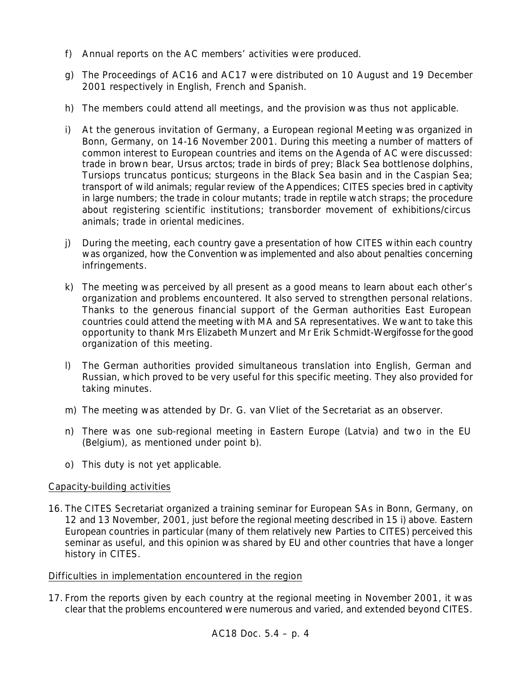- f) Annual reports on the AC members' activities were produced.
- g) The Proceedings of AC16 and AC17 were distributed on 10 August and 19 December 2001 respectively in English, French and Spanish.
- h) The members could attend all meetings, and the provision was thus not applicable.
- i) At the generous invitation of Germany, a European regional Meeting was organized in Bonn, Germany, on 14-16 November 2001. During this meeting a number of matters of common interest to European countries and items on the Agenda of AC were discussed: trade in brown bear, *Ursus arctos*; trade in birds of prey; Black Sea bottlenose dolphins, *Tursiops truncatus ponticus*; sturgeons in the Black Sea basin and in the Caspian Sea; transport of wild animals; regular review of the Appendices; CITES species bred in captivity in large numbers; the trade in colour mutants; trade in reptile watch straps; the procedure about registering scientific institutions; transborder movement of exhibitions/circus animals; trade in oriental medicines.
- j) During the meeting, each country gave a presentation of how CITES within each country was organized, how the Convention was implemented and also about penalties concerning infringements.
- k) The meeting was perceived by all present as a good means to learn about each other's organization and problems encountered. It also served to strengthen personal relations. Thanks to the generous financial support of the German authorities East European countries could attend the meeting with MA and SA representatives. We want to take this opportunity to thank Mrs Elizabeth Munzert and Mr Erik Schmidt-Wergifosse for the good organization of this meeting.
- l) The German authorities provided simultaneous translation into English, German and Russian, which proved to be very useful for this specific meeting. They also provided for taking minutes.
- m) The meeting was attended by Dr. G. van Vliet of the Secretariat as an observer.
- n) There was one sub-regional meeting in Eastern Europe (Latvia) and two in the EU (Belgium), as mentioned under point b).
- o) This duty is not yet applicable.

# Capacity-building activities

16. The CITES Secretariat organized a training seminar for European SAs in Bonn, Germany, on 12 and 13 November, 2001, just before the regional meeting described in 15 i) above. Eastern European countries in particular (many of them relatively new Parties to CITES) perceived this seminar as useful, and this opinion was shared by EU and other countries that have a longer history in CITES.

# Difficulties in implementation encountered in the region

17. From the reports given by each country at the regional meeting in November 2001, it was clear that the problems encountered were numerous and varied, and extended beyond CITES.